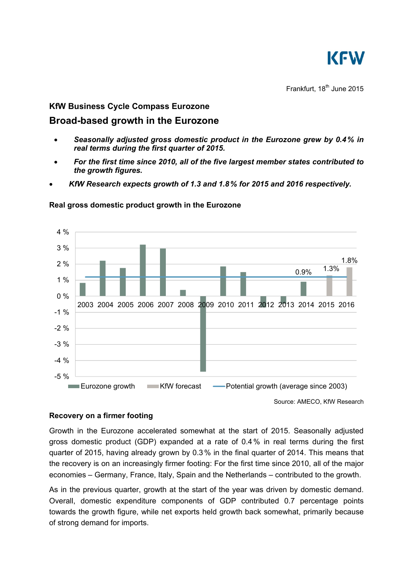

Frankfurt,  $18^{th}$  June 2015

## **KfW Business Cycle Compass Eurozone**

# **Broad-based growth in the Eurozone**

- *Seasonally adjusted gross domestic product in the Eurozone grew by 0.4% in real terms during the first quarter of 2015.*
- *For the first time since 2010, all of the five largest member states contributed to the growth figures.*
- *KfW Research expects growth of 1.3 and 1.8% for 2015 and 2016 respectively.*



### **Real gross domestic product growth in the Eurozone**

Source: AMECO, KfW Research

### **Recovery on a firmer footing**

Growth in the Eurozone accelerated somewhat at the start of 2015. Seasonally adjusted gross domestic product (GDP) expanded at a rate of 0.4% in real terms during the first quarter of 2015, having already grown by 0.3% in the final quarter of 2014. This means that the recovery is on an increasingly firmer footing: For the first time since 2010, all of the major economies – Germany, France, Italy, Spain and the Netherlands – contributed to the growth.

As in the previous quarter, growth at the start of the year was driven by domestic demand. Overall, domestic expenditure components of GDP contributed 0.7 percentage points towards the growth figure, while net exports held growth back somewhat, primarily because of strong demand for imports.